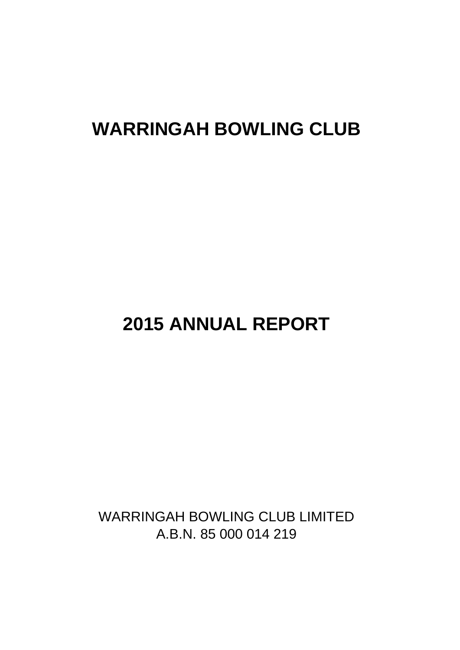# **WARRINGAH BOWLING CLUB**

# **2015 ANNUAL REPORT**

WARRINGAH BOWLING CLUB LIMITED A.B.N. 85 000 014 219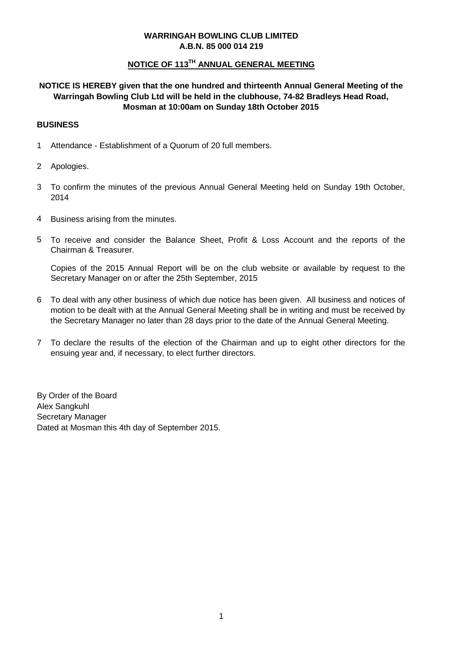# **NOTICE OF 113TH ANNUAL GENERAL MEETING**

# **NOTICE IS HEREBY given that the one hundred and thirteenth Annual General Meeting of the Warringah Bowling Club Ltd will be held in the clubhouse, 74-82 Bradleys Head Road, Mosman at 10:00am on Sunday 18th October 2015**

## **BUSINESS**

- 1 Attendance - Establishment of a Quorum of 20 full members.
- 2 Apologies.
- 3 To confirm the minutes of the previous Annual General Meeting held on Sunday 19th October, 2014
- 4 Business arising from the minutes.
- 5 To receive and consider the Balance Sheet, Profit & Loss Account and the reports of the Chairman & Treasurer.

Copies of the 2015 Annual Report will be on the club website or available by request to the Secretary Manager on or after the 25th September, 2015

- 6 To deal with any other business of which due notice has been given. All business and notices of motion to be dealt with at the Annual General Meeting shall be in writing and must be received by the Secretary Manager no later than 28 days prior to the date of the Annual General Meeting.
- 7 To declare the results of the election of the Chairman and up to eight other directors for the ensuing year and, if necessary, to elect further directors.

By Order of the Board Alex Sangkuhl Secretary Manager Dated at Mosman this 4th day of September 2015.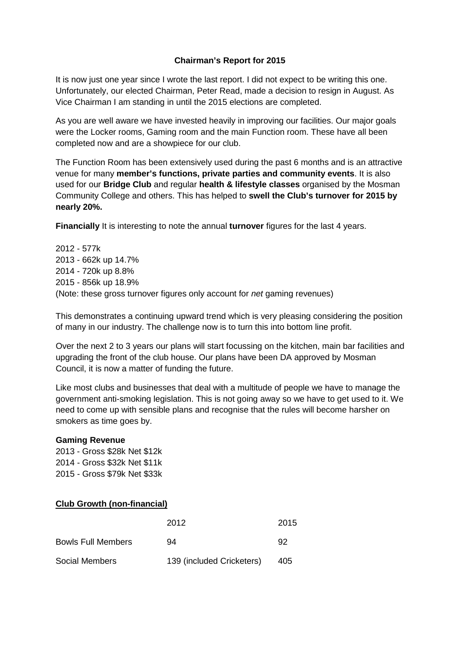# **Chairman's Report for 2015**

It is now just one year since I wrote the last report. I did not expect to be writing this one. Unfortunately, our elected Chairman, Peter Read, made a decision to resign in August. As Vice Chairman I am standing in until the 2015 elections are completed.

As you are well aware we have invested heavily in improving our facilities. Our major goals were the Locker rooms, Gaming room and the main Function room. These have all been completed now and are a showpiece for our club.

The Function Room has been extensively used during the past 6 months and is an attractive venue for many **member's functions, private parties and community events**. It is also used for our **Bridge Club** and regular **health & lifestyle classes** organised by the Mosman Community College and others. This has helped to **swell the Club's turnover for 2015 by nearly 20%.**

**Financially** It is interesting to note the annual **turnover** figures for the last 4 years.

2012 - 577k 2013 - 662k up 14.7% 2014 - 720k up 8.8% 2015 - 856k up 18.9% (Note: these gross turnover figures only account for *net* gaming revenues)

This demonstrates a continuing upward trend which is very pleasing considering the position of many in our industry. The challenge now is to turn this into bottom line profit.

Over the next 2 to 3 years our plans will start focussing on the kitchen, main bar facilities and upgrading the front of the club house. Our plans have been DA approved by Mosman Council, it is now a matter of funding the future.

Like most clubs and businesses that deal with a multitude of people we have to manage the government anti-smoking legislation. This is not going away so we have to get used to it. We need to come up with sensible plans and recognise that the rules will become harsher on smokers as time goes by.

#### **Gaming Revenue**

2013 - Gross \$28k Net \$12k 2014 - Gross \$32k Net \$11k 2015 - Gross \$79k Net \$33k

# **Club Growth (non-financial)**

|                           | 2012                      | 2015 |
|---------------------------|---------------------------|------|
| <b>Bowls Full Members</b> | 94                        | 92   |
| Social Members            | 139 (included Cricketers) | 405  |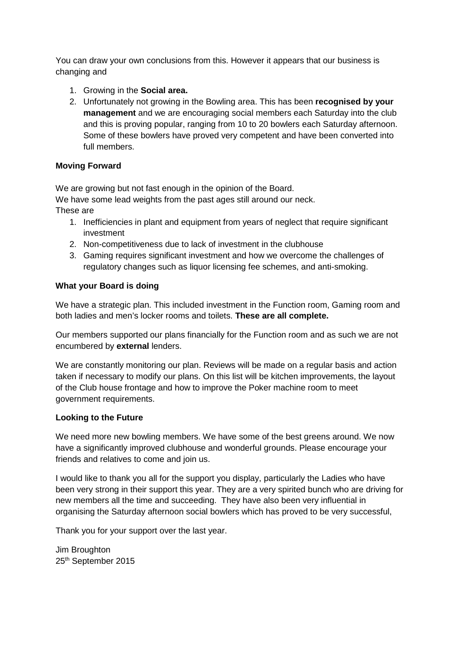You can draw your own conclusions from this. However it appears that our business is changing and

- 1. Growing in the **Social area.**
- 2. Unfortunately not growing in the Bowling area. This has been **recognised by your management** and we are encouraging social members each Saturday into the club and this is proving popular, ranging from 10 to 20 bowlers each Saturday afternoon. Some of these bowlers have proved very competent and have been converted into full members.

# **Moving Forward**

We are growing but not fast enough in the opinion of the Board. We have some lead weights from the past ages still around our neck. These are

- 1. Inefficiencies in plant and equipment from years of neglect that require significant investment
- 2. Non-competitiveness due to lack of investment in the clubhouse
- 3. Gaming requires significant investment and how we overcome the challenges of regulatory changes such as liquor licensing fee schemes, and anti-smoking.

# **What your Board is doing**

We have a strategic plan. This included investment in the Function room, Gaming room and both ladies and men's locker rooms and toilets. **These are all complete.**

Our members supported our plans financially for the Function room and as such we are not encumbered by **external** lenders.

We are constantly monitoring our plan. Reviews will be made on a regular basis and action taken if necessary to modify our plans. On this list will be kitchen improvements, the layout of the Club house frontage and how to improve the Poker machine room to meet government requirements.

# **Looking to the Future**

We need more new bowling members. We have some of the best greens around. We now have a significantly improved clubhouse and wonderful grounds. Please encourage your friends and relatives to come and join us.

I would like to thank you all for the support you display, particularly the Ladies who have been very strong in their support this year. They are a very spirited bunch who are driving for new members all the time and succeeding. They have also been very influential in organising the Saturday afternoon social bowlers which has proved to be very successful,

Thank you for your support over the last year.

Jim Broughton 25<sup>th</sup> September 2015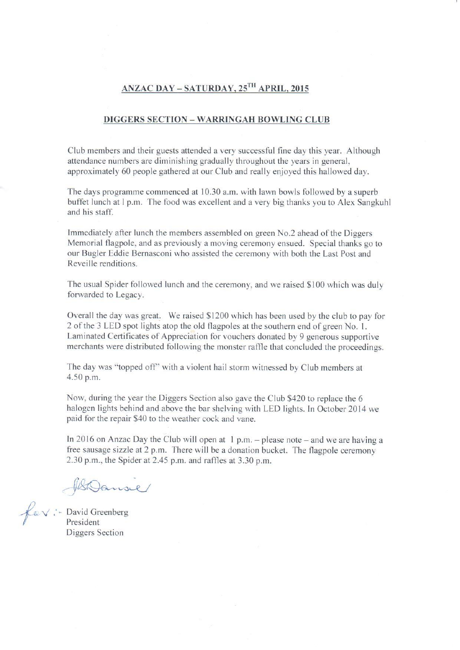# ANZAC DAY - SATURDAY, 25TH APRIL. 2015

#### **DIGGERS SECTION - WARRINGAH BOWLING CLUB**

Club members and their guests attended a very successful fine day this year. Although attendance numbers are diminishing gradually throughout the years in general, approximately 60 people gathered at our Club and really enjoyed this hallowed day.

The days programme commenced at 10.30 a.m. with lawn bowls followed by a superb buffet lunch at l p.m. The food was excellent and a very big thanks you to Alex Sangkuhl and his staff.

Immediately after lunch the members assembled on green No.2 ahead of the Diggers Memorial flagpole, and as previously a moving ceremony ensued. Special thanks go to our Bugler Eddie Bernasconi who assisted the ceremony with both the Last Post and Reveille renditions.

The usual Spider followed lunch and the ceremony, and we raised \$100 which was duly forwarded to Legacy.

Overall the day was great. We raised \$1200 which has been used by the club to pay for 2 of the 3 LED spot lights atop the old flagpoles at the southern end of green No. 1. Laminated Certificates of Appreciation for vouchers donated by 9 generous supportive merchants were distributed following the monster raffle that concluded the proceedings.

The day was "topped off" with a violent hail storm witnessed by Club members at 4.50 p.m.

Now, during the year the Diggers Section also gave the Club \$420 to replace the 6 halogen lights behind and above the bar shelving with LED lights. In October 2014 we paid for the repair \$40 to the weather cock and vane.

In 2016 on Anzac Day the Club will open at  $1 p.m.$  – please note – and we are having a free sausage sizzle at 2 p.m. There will be a donation bucket. The flagpole ceremony 2.30 p.m., the Spider at 2.45 p.m. and raffles at 3.30 p.m.

HBDanse

fav: David Greenberg<br>President Diggers Section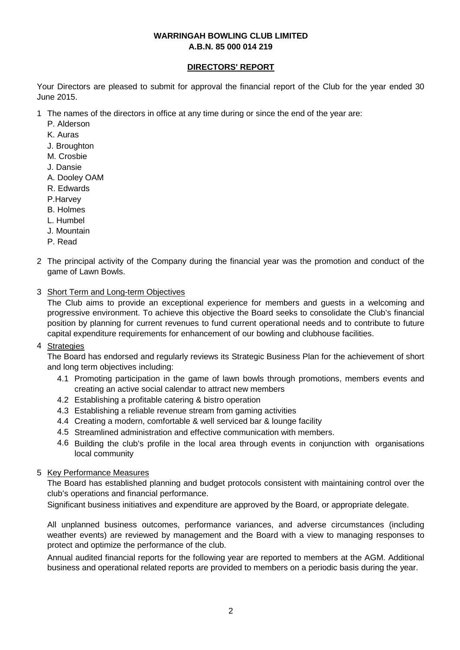# **DIRECTORS' REPORT**

Your Directors are pleased to submit for approval the financial report of the Club for the year ended 30 June 2015.

1 The names of the directors in office at any time during or since the end of the year are:

- P. Alderson
- K. Auras
- J. Broughton
- M. Crosbie
- J. Dansie
- A. Dooley OAM
- R. Edwards
- P.Harvey
- B. Holmes
- L. Humbel
- J. Mountain
- P. Read
- 2 The principal activity of the Company during the financial year was the promotion and conduct of the game of Lawn Bowls.
- 3 Short Term and Long-term Objectives

The Club aims to provide an exceptional experience for members and guests in a welcoming and progressive environment. To achieve this objective the Board seeks to consolidate the Club's financial position by planning for current revenues to fund current operational needs and to contribute to future capital expenditure requirements for enhancement of our bowling and clubhouse facilities.

# 4 <u>Strategies</u>

The Board has endorsed and regularly reviews its Strategic Business Plan for the achievement of short and long term objectives including:

- 4.1 Promoting participation in the game of lawn bowls through promotions, members events and creating an active social calendar to attract new members
- 4.2 Establishing a profitable catering & bistro operation
- 4.3 Establishing a reliable revenue stream from gaming activities
- 4.4 Creating a modern, comfortable & well serviced bar & lounge facility
- 4.5 Streamlined administration and effective communication with members.
- 4.6 Building the club's profile in the local area through events in conjunction with organisations local community

# 5 Key Performance Measures

The Board has established planning and budget protocols consistent with maintaining control over the club's operations and financial performance.

Significant business initiatives and expenditure are approved by the Board, or appropriate delegate.

All unplanned business outcomes, performance variances, and adverse circumstances (including weather events) are reviewed by management and the Board with a view to managing responses to protect and optimize the performance of the club.

Annual audited financial reports for the following year are reported to members at the AGM. Additional business and operational related reports are provided to members on a periodic basis during the year.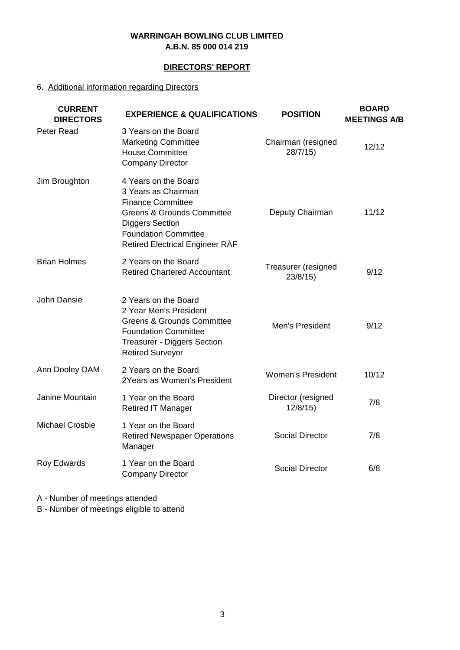# **DIRECTORS' REPORT**

# 6. Additional information regarding Directors

| <b>CURRENT</b><br><b>DIRECTORS</b> | <b>EXPERIENCE &amp; QUALIFICATIONS</b>                                                                                                                                                                              | <b>POSITION</b>                | <b>BOARD</b><br><b>MEETINGS A/B</b> |
|------------------------------------|---------------------------------------------------------------------------------------------------------------------------------------------------------------------------------------------------------------------|--------------------------------|-------------------------------------|
| Peter Read                         | 3 Years on the Board<br><b>Marketing Committee</b><br><b>House Committee</b><br><b>Company Director</b>                                                                                                             | Chairman (resigned<br>28/7/15  | 12/12                               |
| Jim Broughton                      | 4 Years on the Board<br>3 Years as Chairman<br><b>Finance Committee</b><br><b>Greens &amp; Grounds Committee</b><br><b>Diggers Section</b><br><b>Foundation Committee</b><br><b>Retired Electrical Engineer RAF</b> | Deputy Chairman                | 11/12                               |
| <b>Brian Holmes</b>                | 2 Years on the Board<br><b>Retired Chartered Accountant</b>                                                                                                                                                         | Treasurer (resigned<br>23/8/15 | 9/12                                |
| John Dansie                        | 2 Years on the Board<br>2 Year Men's President<br><b>Greens &amp; Grounds Committee</b><br><b>Foundation Committee</b><br><b>Treasurer - Diggers Section</b><br><b>Retired Surveyor</b>                             | Men's President                | 9/12                                |
| Ann Dooley OAM                     | 2 Years on the Board<br>2Years as Women's President                                                                                                                                                                 | <b>Women's President</b>       | 10/12                               |
| Janine Mountain                    | 1 Year on the Board<br><b>Retired IT Manager</b>                                                                                                                                                                    | Director (resigned<br>12/8/15  | 7/8                                 |
| <b>Michael Crosbie</b>             | 1 Year on the Board<br><b>Retired Newspaper Operations</b><br>Manager                                                                                                                                               | <b>Social Director</b>         | 7/8                                 |
| Roy Edwards                        | 1 Year on the Board<br><b>Company Director</b>                                                                                                                                                                      | <b>Social Director</b>         | 6/8                                 |
|                                    |                                                                                                                                                                                                                     |                                |                                     |

A - Number of meetings attended

B - Number of meetings eligible to attend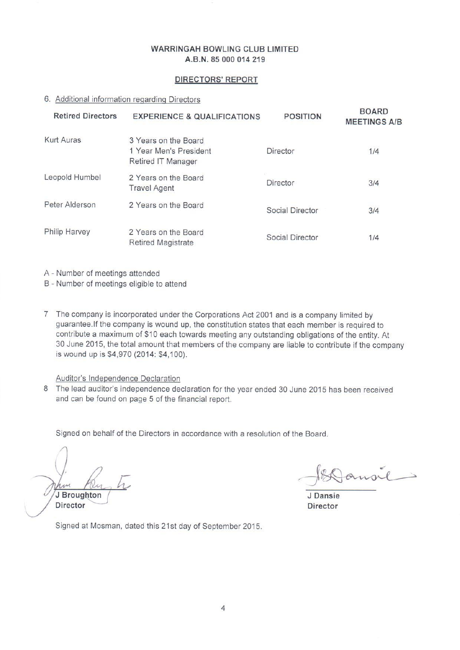#### **DIRECTORS' REPORT**

#### 6. Additional information regarding Directors

| <b>Retired Directors</b> | <b>EXPERIENCE &amp; QUALIFICATIONS</b>                               | <b>POSITION</b> | <b>BOARD</b><br><b>MEETINGS A/B</b> |
|--------------------------|----------------------------------------------------------------------|-----------------|-------------------------------------|
| Kurt Auras               | 3 Years on the Board<br>1 Year Men's President<br>Retired IT Manager | Director        | 1/4                                 |
| Leopold Humbel           | 2 Years on the Board<br><b>Travel Agent</b>                          | Director        | 3/4                                 |
| Peter Alderson           | 2 Years on the Board                                                 | Social Director | 3/4                                 |
| Philip Harvey            | 2 Years on the Board<br><b>Retired Magistrate</b>                    | Social Director | 1/4                                 |

A - Number of meetings attended

B - Number of meetings eligible to attend

7 The company is incorporated under the Corporations Act 2001 and is a company limited by guarantee. If the company is wound up, the constitution states that each member is required to contribute a maximum of \$10 each towards meeting any outstanding obligations of the entity. At 30 June 2015, the total amount that members of the company are liable to contribute if the company is wound up is \$4,970 (2014: \$4,100).

#### Auditor's Independence Declaration

8 The lead auditor's independence declaration for the year ended 30 June 2015 has been received and can be found on page 5 of the financial report.

Signed on behalf of the Directors in accordance with a resolution of the Board.

J Broughton **Director** 

J Dansie **Director** 

Signed at Mosman, dated this 21st day of September 2015.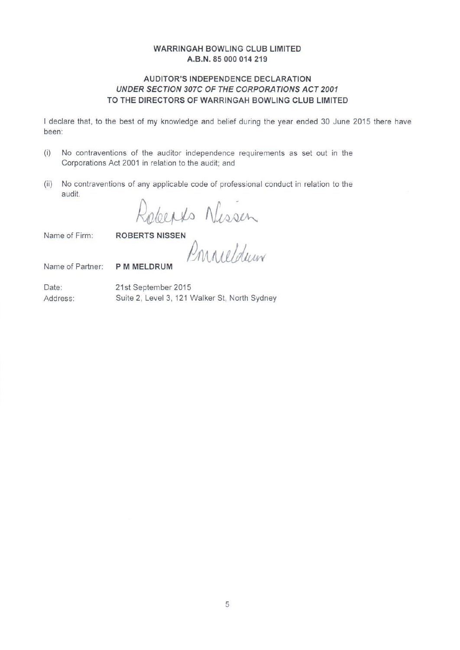# AUDITOR'S INDEPENDENCE DECLARATION UNDER SECTION 307C OF THE CORPORATIONS ACT 2001 TO THE DIRECTORS OF WARRINGAH BOWLING CLUB LIMITED

I declare that, to the best of my knowledge and belief during the year ended 30 June 2015 there have been:

- $(i)$ No contraventions of the auditor independence requirements as set out in the Corporations Act 2001 in relation to the audit; and
- (ii) No contraventions of any applicable code of professional conduct in relation to the audit.

Roberts Nissen

Name of Firm:

Name of Partner: **P M MELDRUM** 

Date: 21st September 2015 Suite 2, Level 3, 121 Walker St, North Sydney Address: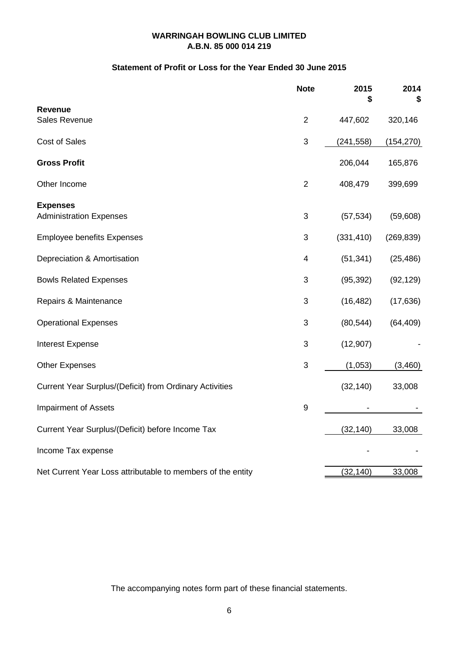# **Statement of Profit or Loss for the Year Ended 30 June 2015**

|                                                             | <b>Note</b>             | 2015<br>\$ | 2014<br>S  |
|-------------------------------------------------------------|-------------------------|------------|------------|
| Revenue                                                     |                         |            |            |
| Sales Revenue                                               | $\overline{2}$          | 447,602    | 320,146    |
| Cost of Sales                                               | 3                       | (241, 558) | (154, 270) |
| <b>Gross Profit</b>                                         |                         | 206,044    | 165,876    |
| Other Income                                                | $\overline{2}$          | 408,479    | 399,699    |
| <b>Expenses</b>                                             |                         |            |            |
| <b>Administration Expenses</b>                              | 3                       | (57, 534)  | (59,608)   |
| <b>Employee benefits Expenses</b>                           | 3                       | (331, 410) | (269, 839) |
| Depreciation & Amortisation                                 | $\overline{\mathbf{4}}$ | (51, 341)  | (25, 486)  |
| <b>Bowls Related Expenses</b>                               | 3                       | (95, 392)  | (92, 129)  |
| Repairs & Maintenance                                       | 3                       | (16, 482)  | (17, 636)  |
| <b>Operational Expenses</b>                                 | 3                       | (80, 544)  | (64, 409)  |
| Interest Expense                                            | 3                       | (12, 907)  |            |
| <b>Other Expenses</b>                                       | 3                       | (1,053)    | (3,460)    |
| Current Year Surplus/(Deficit) from Ordinary Activities     |                         | (32, 140)  | 33,008     |
| <b>Impairment of Assets</b>                                 | $\boldsymbol{9}$        |            |            |
| Current Year Surplus/(Deficit) before Income Tax            |                         | (32, 140)  | 33,008     |
| Income Tax expense                                          |                         |            |            |
| Net Current Year Loss attributable to members of the entity |                         | (32, 140)  | 33,008     |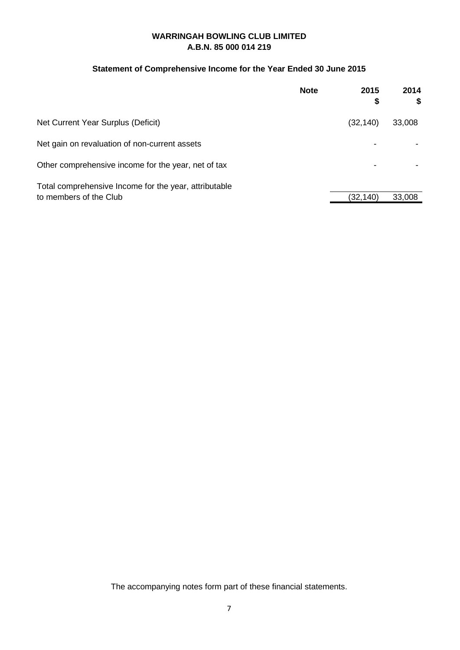# **Statement of Comprehensive Income for the Year Ended 30 June 2015**

|                                                       | <b>Note</b> | 2015<br>\$ | 2014<br>\$ |
|-------------------------------------------------------|-------------|------------|------------|
| Net Current Year Surplus (Deficit)                    |             | (32, 140)  | 33,008     |
| Net gain on revaluation of non-current assets         |             |            |            |
| Other comprehensive income for the year, net of tax   |             |            |            |
| Total comprehensive Income for the year, attributable |             |            |            |
| to members of the Club                                |             | (32,140)   | 33,008     |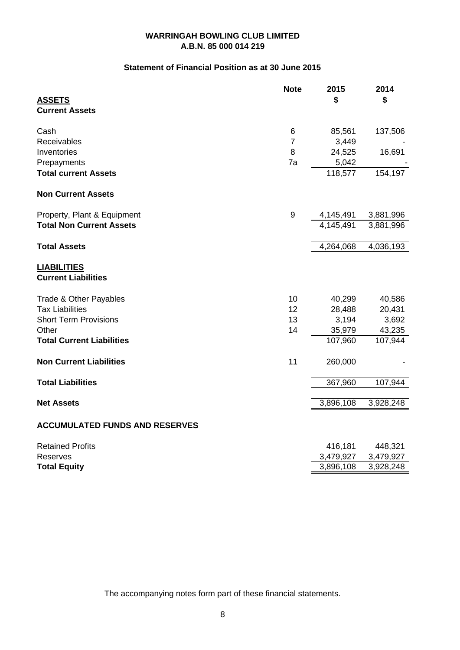# **Statement of Financial Position as at 30 June 2015**

|                                                  | <b>Note</b>    | 2015      | 2014      |
|--------------------------------------------------|----------------|-----------|-----------|
| <b>ASSETS</b><br><b>Current Assets</b>           |                | \$        | \$        |
|                                                  |                |           |           |
| Cash                                             | 6              | 85,561    | 137,506   |
| Receivables                                      | $\overline{7}$ | 3,449     |           |
| Inventories                                      | 8              | 24,525    | 16,691    |
| Prepayments                                      | 7a             | 5,042     |           |
| <b>Total current Assets</b>                      |                | 118,577   | 154,197   |
| <b>Non Current Assets</b>                        |                |           |           |
| Property, Plant & Equipment                      | 9              | 4,145,491 | 3,881,996 |
| <b>Total Non Current Assets</b>                  |                | 4,145,491 | 3,881,996 |
| <b>Total Assets</b>                              |                | 4,264,068 | 4,036,193 |
| <b>LIABILITIES</b><br><b>Current Liabilities</b> |                |           |           |
| Trade & Other Payables                           | 10             | 40,299    | 40,586    |
| <b>Tax Liabilities</b>                           | 12             | 28,488    | 20,431    |
| <b>Short Term Provisions</b>                     | 13             | 3,194     | 3,692     |
| Other                                            | 14             | 35,979    | 43,235    |
| <b>Total Current Liabilities</b>                 |                | 107,960   | 107,944   |
| <b>Non Current Liabilities</b>                   | 11             | 260,000   |           |
| <b>Total Liabilities</b>                         |                | 367,960   | 107,944   |
| <b>Net Assets</b>                                |                | 3,896,108 | 3,928,248 |
| <b>ACCUMULATED FUNDS AND RESERVES</b>            |                |           |           |
|                                                  |                |           |           |
| <b>Retained Profits</b>                          |                | 416,181   | 448,321   |
| <b>Reserves</b>                                  |                | 3,479,927 | 3,479,927 |
| <b>Total Equity</b>                              |                | 3,896,108 | 3,928,248 |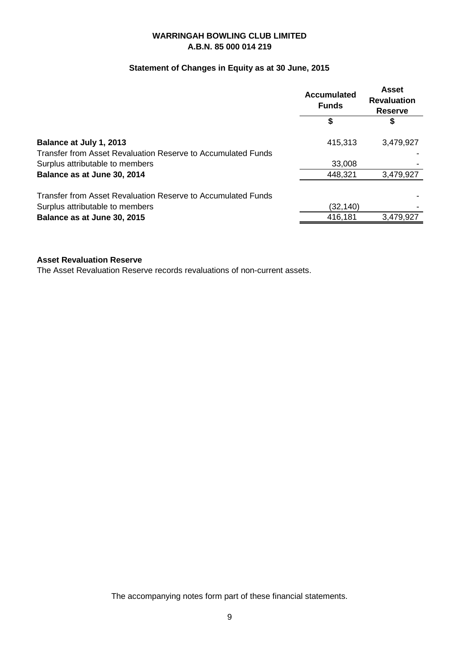# **Statement of Changes in Equity as at 30 June, 2015**

|                                                                                         | <b>Accumulated</b><br><b>Funds</b> | <b>Asset</b><br><b>Revaluation</b><br><b>Reserve</b> |
|-----------------------------------------------------------------------------------------|------------------------------------|------------------------------------------------------|
|                                                                                         | S                                  | \$                                                   |
| Balance at July 1, 2013<br>Transfer from Asset Revaluation Reserve to Accumulated Funds | 415,313                            | 3,479,927                                            |
| Surplus attributable to members                                                         | 33,008                             |                                                      |
| Balance as at June 30, 2014                                                             | 448,321                            | 3,479,927                                            |
| Transfer from Asset Revaluation Reserve to Accumulated Funds                            |                                    |                                                      |
| Surplus attributable to members                                                         | (32, 140)                          |                                                      |
| Balance as at June 30, 2015                                                             | 416,181                            | 3,479,927                                            |

# **Asset Revaluation Reserve**

The Asset Revaluation Reserve records revaluations of non-current assets.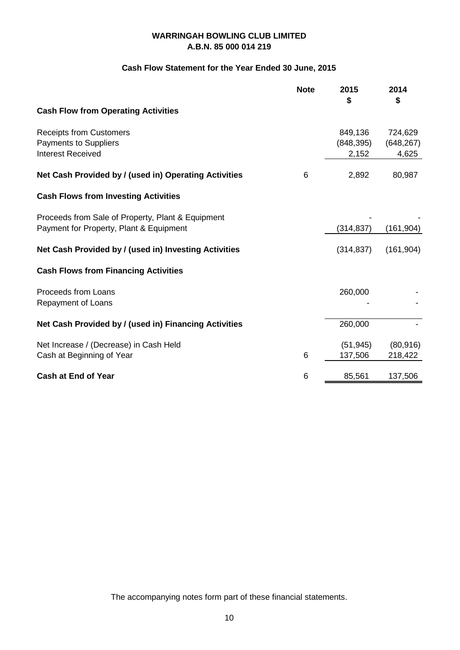# **Cash Flow Statement for the Year Ended 30 June, 2015**

|                                                                                              | <b>Note</b> | 2015<br>\$          | 2014<br>\$          |
|----------------------------------------------------------------------------------------------|-------------|---------------------|---------------------|
| <b>Cash Flow from Operating Activities</b>                                                   |             |                     |                     |
| <b>Receipts from Customers</b>                                                               |             | 849,136             | 724,629             |
| <b>Payments to Suppliers</b><br><b>Interest Received</b>                                     |             | (848, 395)<br>2,152 | (648, 267)<br>4,625 |
| Net Cash Provided by / (used in) Operating Activities                                        | 6           | 2,892               | 80,987              |
| <b>Cash Flows from Investing Activities</b>                                                  |             |                     |                     |
| Proceeds from Sale of Property, Plant & Equipment<br>Payment for Property, Plant & Equipment |             | (314, 837)          | (161, 904)          |
| Net Cash Provided by / (used in) Investing Activities                                        |             | (314, 837)          | (161, 904)          |
| <b>Cash Flows from Financing Activities</b>                                                  |             |                     |                     |
| Proceeds from Loans<br>Repayment of Loans                                                    |             | 260,000             |                     |
| Net Cash Provided by / (used in) Financing Activities                                        |             | 260,000             |                     |
| Net Increase / (Decrease) in Cash Held                                                       | 6           | (51, 945)           | (80, 916)           |
| Cash at Beginning of Year                                                                    |             | 137,506             | 218,422             |
| <b>Cash at End of Year</b>                                                                   | 6           | 85,561              | 137,506             |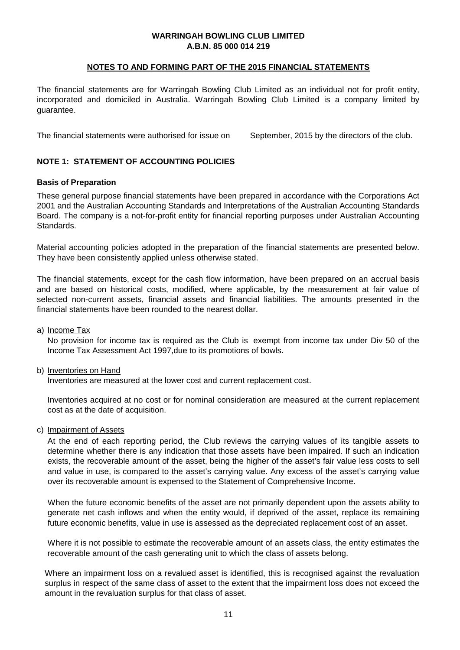## **NOTES TO AND FORMING PART OF THE 2015 FINANCIAL STATEMENTS**

The financial statements are for Warringah Bowling Club Limited as an individual not for profit entity, incorporated and domiciled in Australia. Warringah Bowling Club Limited is a company limited by guarantee.

The financial statements were authorised for issue on September, 2015 by the directors of the club.

# **NOTE 1: STATEMENT OF ACCOUNTING POLICIES**

### **Basis of Preparation**

These general purpose financial statements have been prepared in accordance with the Corporations Act 2001 and the Australian Accounting Standards and Interpretations of the Australian Accounting Standards Board. The company is a not-for-profit entity for financial reporting purposes under Australian Accounting Standards.

Material accounting policies adopted in the preparation of the financial statements are presented below. They have been consistently applied unless otherwise stated.

The financial statements, except for the cash flow information, have been prepared on an accrual basis and are based on historical costs, modified, where applicable, by the measurement at fair value of selected non-current assets, financial assets and financial liabilities. The amounts presented in the financial statements have been rounded to the nearest dollar.

a) <u>Income Tax</u>

No provision for income tax is required as the Club is exempt from income tax under Div 50 of the Income Tax Assessment Act 1997,due to its promotions of bowls.

#### b) <u>Inventories on Hand</u>

Inventories are measured at the lower cost and current replacement cost.

Inventories acquired at no cost or for nominal consideration are measured at the current replacement cost as at the date of acquisition.

c) <u>Impairment of Assets</u>

At the end of each reporting period, the Club reviews the carrying values of its tangible assets to determine whether there is any indication that those assets have been impaired. If such an indication exists, the recoverable amount of the asset, being the higher of the asset's fair value less costs to sell and value in use, is compared to the asset's carrying value. Any excess of the asset's carrying value over its recoverable amount is expensed to the Statement of Comprehensive Income.

When the future economic benefits of the asset are not primarily dependent upon the assets ability to generate net cash inflows and when the entity would, if deprived of the asset, replace its remaining future economic benefits, value in use is assessed as the depreciated replacement cost of an asset.

Where it is not possible to estimate the recoverable amount of an assets class, the entity estimates the recoverable amount of the cash generating unit to which the class of assets belong.

Where an impairment loss on a revalued asset is identified, this is recognised against the revaluation surplus in respect of the same class of asset to the extent that the impairment loss does not exceed the amount in the revaluation surplus for that class of asset.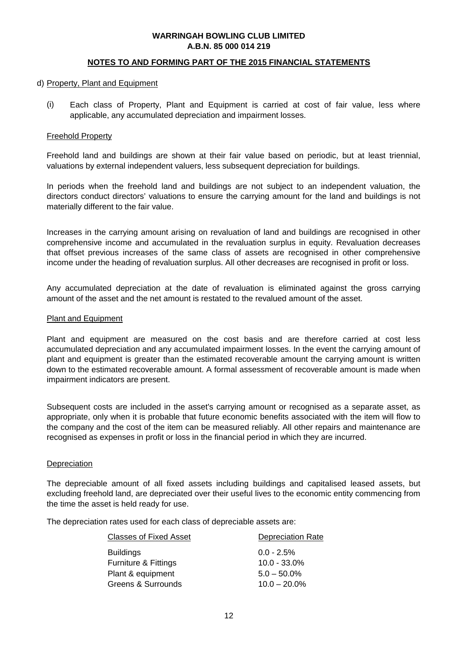## **NOTES TO AND FORMING PART OF THE 2015 FINANCIAL STATEMENTS**

#### d) Property, Plant and Equipment

(i) Each class of Property, Plant and Equipment is carried at cost of fair value, less where applicable, any accumulated depreciation and impairment losses.

#### Freehold Property

Freehold land and buildings are shown at their fair value based on periodic, but at least triennial, valuations by external independent valuers, less subsequent depreciation for buildings.

In periods when the freehold land and buildings are not subject to an independent valuation, the directors conduct directors' valuations to ensure the carrying amount for the land and buildings is not materially different to the fair value.

Increases in the carrying amount arising on revaluation of land and buildings are recognised in other comprehensive income and accumulated in the revaluation surplus in equity. Revaluation decreases that offset previous increases of the same class of assets are recognised in other comprehensive income under the heading of revaluation surplus. All other decreases are recognised in profit or loss.

Any accumulated depreciation at the date of revaluation is eliminated against the gross carrying amount of the asset and the net amount is restated to the revalued amount of the asset.

#### Plant and Equipment

Plant and equipment are measured on the cost basis and are therefore carried at cost less accumulated depreciation and any accumulated impairment losses. In the event the carrying amount of plant and equipment is greater than the estimated recoverable amount the carrying amount is written down to the estimated recoverable amount. A formal assessment of recoverable amount is made when impairment indicators are present.

Subsequent costs are included in the asset's carrying amount or recognised as a separate asset, as appropriate, only when it is probable that future economic benefits associated with the item will flow to the company and the cost of the item can be measured reliably. All other repairs and maintenance are recognised as expenses in profit or loss in the financial period in which they are incurred.

#### **Depreciation**

The depreciable amount of all fixed assets including buildings and capitalised leased assets, but excluding freehold land, are depreciated over their useful lives to the economic entity commencing from the time the asset is held ready for use.

The depreciation rates used for each class of depreciable assets are:

| <b>Classes of Fixed Asset</b>   | <b>Depreciation Rate</b> |
|---------------------------------|--------------------------|
| <b>Buildings</b>                | $0.0 - 2.5\%$            |
| <b>Furniture &amp; Fittings</b> | $10.0 - 33.0\%$          |
| Plant & equipment               | $5.0 - 50.0\%$           |
| Greens & Surrounds              | $10.0 - 20.0\%$          |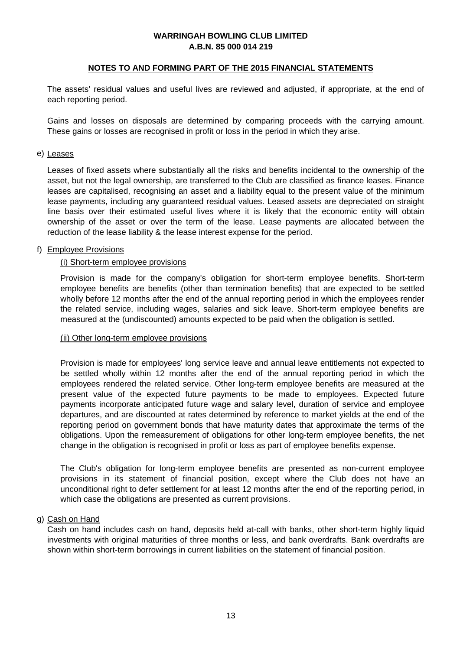## **NOTES TO AND FORMING PART OF THE 2015 FINANCIAL STATEMENTS**

The assets' residual values and useful lives are reviewed and adjusted, if appropriate, at the end of each reporting period.

Gains and losses on disposals are determined by comparing proceeds with the carrying amount. These gains or losses are recognised in profit or loss in the period in which they arise.

#### e) <u>Leases</u>

Leases of fixed assets where substantially all the risks and benefits incidental to the ownership of the asset, but not the legal ownership, are transferred to the Club are classified as finance leases. Finance leases are capitalised, recognising an asset and a liability equal to the present value of the minimum lease payments, including any guaranteed residual values. Leased assets are depreciated on straight line basis over their estimated useful lives where it is likely that the economic entity will obtain ownership of the asset or over the term of the lease. Lease payments are allocated between the reduction of the lease liability & the lease interest expense for the period.

# f) Employee Provisions

#### (i) Short-term employee provisions

Provision is made for the company's obligation for short-term employee benefits. Short-term employee benefits are benefits (other than termination benefits) that are expected to be settled wholly before 12 months after the end of the annual reporting period in which the employees render the related service, including wages, salaries and sick leave. Short-term employee benefits are measured at the (undiscounted) amounts expected to be paid when the obligation is settled.

#### (ii) Other long-term employee provisions

Provision is made for employees' long service leave and annual leave entitlements not expected to be settled wholly within 12 months after the end of the annual reporting period in which the employees rendered the related service. Other long-term employee benefits are measured at the present value of the expected future payments to be made to employees. Expected future payments incorporate anticipated future wage and salary level, duration of service and employee departures, and are discounted at rates determined by reference to market yields at the end of the reporting period on government bonds that have maturity dates that approximate the terms of the obligations. Upon the remeasurement of obligations for other long-term employee benefits, the net change in the obligation is recognised in profit or loss as part of employee benefits expense.

The Club's obligation for long-term employee benefits are presented as non-current employee provisions in its statement of financial position, except where the Club does not have an unconditional right to defer settlement for at least 12 months after the end of the reporting period, in which case the obligations are presented as current provisions.

#### g) <u>Cash on Hand</u>

Cash on hand includes cash on hand, deposits held at-call with banks, other short-term highly liquid investments with original maturities of three months or less, and bank overdrafts. Bank overdrafts are shown within short-term borrowings in current liabilities on the statement of financial position.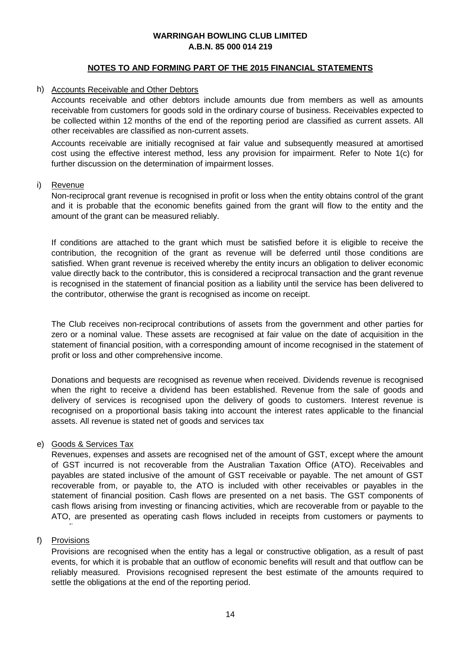## **NOTES TO AND FORMING PART OF THE 2015 FINANCIAL STATEMENTS**

## h) Accounts Receivable and Other Debtors

Accounts receivable and other debtors include amounts due from members as well as amounts receivable from customers for goods sold in the ordinary course of business. Receivables expected to be collected within 12 months of the end of the reporting period are classified as current assets. All other receivables are classified as non-current assets.

Accounts receivable are initially recognised at fair value and subsequently measured at amortised cost using the effective interest method, less any provision for impairment. Refer to Note 1(c) for further discussion on the determination of impairment losses.

#### i) <u>Revenue</u>

Non-reciprocal grant revenue is recognised in profit or loss when the entity obtains control of the grant and it is probable that the economic benefits gained from the grant will flow to the entity and the amount of the grant can be measured reliably.

If conditions are attached to the grant which must be satisfied before it is eligible to receive the contribution, the recognition of the grant as revenue will be deferred until those conditions are satisfied. When grant revenue is received whereby the entity incurs an obligation to deliver economic value directly back to the contributor, this is considered a reciprocal transaction and the grant revenue is recognised in the statement of financial position as a liability until the service has been delivered to the contributor, otherwise the grant is recognised as income on receipt.

The Club receives non-reciprocal contributions of assets from the government and other parties for zero or a nominal value. These assets are recognised at fair value on the date of acquisition in the statement of financial position, with a corresponding amount of income recognised in the statement of profit or loss and other comprehensive income.

Donations and bequests are recognised as revenue when received. Dividends revenue is recognised when the right to receive a dividend has been established. Revenue from the sale of goods and delivery of services is recognised upon the delivery of goods to customers. Interest revenue is recognised on a proportional basis taking into account the interest rates applicable to the financial assets. All revenue is stated net of goods and services tax

# e) <u>Goods & Services Tax</u>

Revenues, expenses and assets are recognised net of the amount of GST, except where the amount of GST incurred is not recoverable from the Australian Taxation Office (ATO). Receivables and payables are stated inclusive of the amount of GST receivable or payable. The net amount of GST recoverable from, or payable to, the ATO is included with other receivables or payables in the statement of financial position. Cash flows are presented on a net basis. The GST components of cash flows arising from investing or financing activities, which are recoverable from or payable to the ATO, are presented as operating cash flows included in receipts from customers or payments to

# f) <u>Provisions</u>

li

Provisions are recognised when the entity has a legal or constructive obligation, as a result of past events, for which it is probable that an outflow of economic benefits will result and that outflow can be reliably measured. Provisions recognised represent the best estimate of the amounts required to settle the obligations at the end of the reporting period.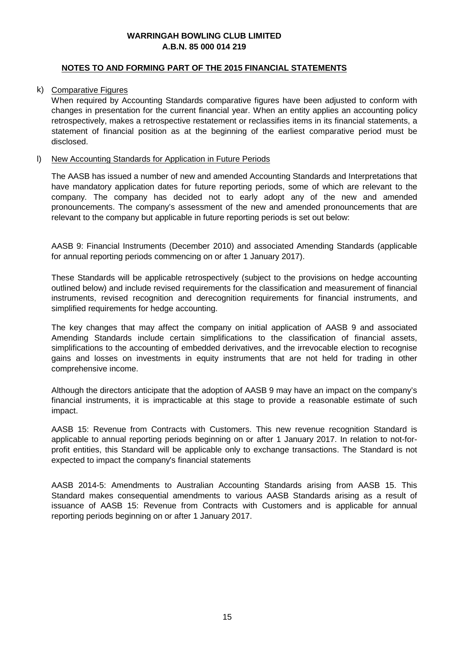## **NOTES TO AND FORMING PART OF THE 2015 FINANCIAL STATEMENTS**

## k) Comparative Figures

When required by Accounting Standards comparative figures have been adjusted to conform with changes in presentation for the current financial year. When an entity applies an accounting policy retrospectively, makes a retrospective restatement or reclassifies items in its financial statements, a statement of financial position as at the beginning of the earliest comparative period must be disclosed.

# l) New Accounting Standards for Application in Future Periods

The AASB has issued a number of new and amended Accounting Standards and Interpretations that have mandatory application dates for future reporting periods, some of which are relevant to the company. The company has decided not to early adopt any of the new and amended pronouncements. The company's assessment of the new and amended pronouncements that are relevant to the company but applicable in future reporting periods is set out below:

AASB 9: Financial Instruments (December 2010) and associated Amending Standards (applicable for annual reporting periods commencing on or after 1 January 2017).

These Standards will be applicable retrospectively (subject to the provisions on hedge accounting outlined below) and include revised requirements for the classification and measurement of financial instruments, revised recognition and derecognition requirements for financial instruments, and simplified requirements for hedge accounting.

The key changes that may affect the company on initial application of AASB 9 and associated Amending Standards include certain simplifications to the classification of financial assets, simplifications to the accounting of embedded derivatives, and the irrevocable election to recognise gains and losses on investments in equity instruments that are not held for trading in other comprehensive income.

Although the directors anticipate that the adoption of AASB 9 may have an impact on the company's financial instruments, it is impracticable at this stage to provide a reasonable estimate of such impact.

AASB 15: Revenue from Contracts with Customers. This new revenue recognition Standard is applicable to annual reporting periods beginning on or after 1 January 2017. In relation to not-forprofit entities, this Standard will be applicable only to exchange transactions. The Standard is not expected to impact the company's financial statements

AASB 2014-5: Amendments to Australian Accounting Standards arising from AASB 15. This Standard makes consequential amendments to various AASB Standards arising as a result of issuance of AASB 15: Revenue from Contracts with Customers and is applicable for annual reporting periods beginning on or after 1 January 2017.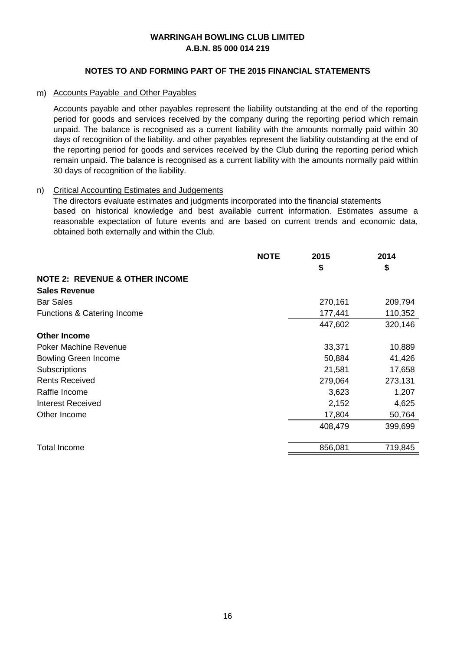# **NOTES TO AND FORMING PART OF THE 2015 FINANCIAL STATEMENTS**

## m) Accounts Payable and Other Payables

Accounts payable and other payables represent the liability outstanding at the end of the reporting period for goods and services received by the company during the reporting period which remain unpaid. The balance is recognised as a current liability with the amounts normally paid within 30 days of recognition of the liability. and other payables represent the liability outstanding at the end of the reporting period for goods and services received by the Club during the reporting period which remain unpaid. The balance is recognised as a current liability with the amounts normally paid within 30 days of recognition of the liability.

# n) Critical Accounting Estimates and Judgements

The directors evaluate estimates and judgments incorporated into the financial statements based on historical knowledge and best available current information. Estimates assume a reasonable expectation of future events and are based on current trends and economic data, obtained both externally and within the Club.

|                                           | <b>NOTE</b> | 2015    | 2014    |
|-------------------------------------------|-------------|---------|---------|
|                                           |             | \$      | \$      |
| <b>NOTE 2: REVENUE &amp; OTHER INCOME</b> |             |         |         |
| <b>Sales Revenue</b>                      |             |         |         |
| <b>Bar Sales</b>                          |             | 270,161 | 209,794 |
| Functions & Catering Income               |             | 177,441 | 110,352 |
|                                           |             | 447,602 | 320,146 |
| <b>Other Income</b>                       |             |         |         |
| <b>Poker Machine Revenue</b>              |             | 33,371  | 10,889  |
| <b>Bowling Green Income</b>               |             | 50,884  | 41,426  |
| Subscriptions                             |             | 21,581  | 17,658  |
| <b>Rents Received</b>                     |             | 279,064 | 273,131 |
| Raffle Income                             |             | 3,623   | 1,207   |
| Interest Received                         |             | 2,152   | 4,625   |
| Other Income                              |             | 17,804  | 50,764  |
|                                           |             | 408,479 | 399,699 |
|                                           |             |         |         |
| Total Income                              |             | 856,081 | 719,845 |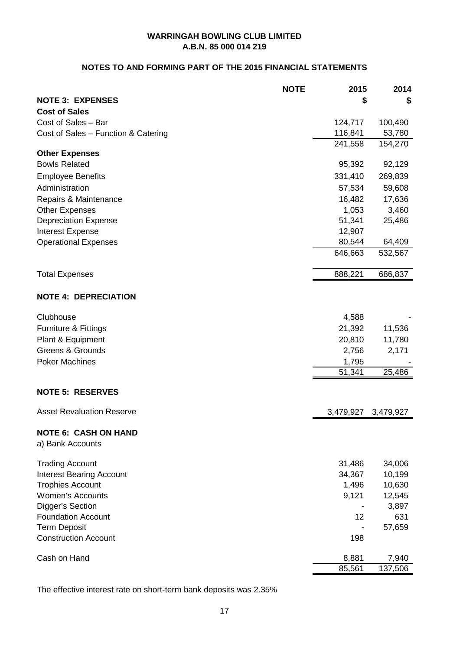# **NOTES TO AND FORMING PART OF THE 2015 FINANCIAL STATEMENTS**

|                                                 | <b>NOTE</b> | 2015             | 2014              |
|-------------------------------------------------|-------------|------------------|-------------------|
| <b>NOTE 3: EXPENSES</b>                         |             | \$               | \$                |
| <b>Cost of Sales</b>                            |             |                  |                   |
| Cost of Sales - Bar                             |             | 124,717          | 100,490           |
| Cost of Sales - Function & Catering             |             | 116,841          | 53,780            |
|                                                 |             | 241,558          | 154,270           |
| <b>Other Expenses</b><br><b>Bowls Related</b>   |             |                  |                   |
|                                                 |             | 95,392           | 92,129            |
| <b>Employee Benefits</b>                        |             | 331,410          | 269,839           |
| Administration                                  |             | 57,534           | 59,608            |
| Repairs & Maintenance                           |             | 16,482           | 17,636            |
| <b>Other Expenses</b>                           |             | 1,053            | 3,460             |
| <b>Depreciation Expense</b>                     |             | 51,341           | 25,486            |
| Interest Expense                                |             | 12,907<br>80,544 |                   |
| <b>Operational Expenses</b>                     |             | 646,663          | 64,409<br>532,567 |
|                                                 |             |                  |                   |
| <b>Total Expenses</b>                           |             | 888,221          | 686,837           |
| <b>NOTE 4: DEPRECIATION</b>                     |             |                  |                   |
| Clubhouse                                       |             | 4,588            |                   |
| Furniture & Fittings                            |             | 21,392           | 11,536            |
| Plant & Equipment                               |             | 20,810           | 11,780            |
| <b>Greens &amp; Grounds</b>                     |             | 2,756            | 2,171             |
| <b>Poker Machines</b>                           |             | 1,795            |                   |
|                                                 |             | 51,341           | 25,486            |
| <b>NOTE 5: RESERVES</b>                         |             |                  |                   |
| <b>Asset Revaluation Reserve</b>                |             | 3,479,927        | 3,479,927         |
| <b>NOTE 6: CASH ON HAND</b><br>a) Bank Accounts |             |                  |                   |
| <b>Trading Account</b>                          |             | 31,486           | 34,006            |
| <b>Interest Bearing Account</b>                 |             | 34,367           | 10,199            |
| <b>Trophies Account</b>                         |             | 1,496            | 10,630            |
| Women's Accounts                                |             | 9,121            | 12,545            |
| Digger's Section                                |             |                  | 3,897             |
| <b>Foundation Account</b>                       |             | 12               | 631               |
| <b>Term Deposit</b>                             |             |                  | 57,659            |
| <b>Construction Account</b>                     |             | 198              |                   |
| Cash on Hand                                    |             | 8,881            | 7,940             |
|                                                 |             | 85,561           | 137,506           |

The effective interest rate on short-term bank deposits was 2.35%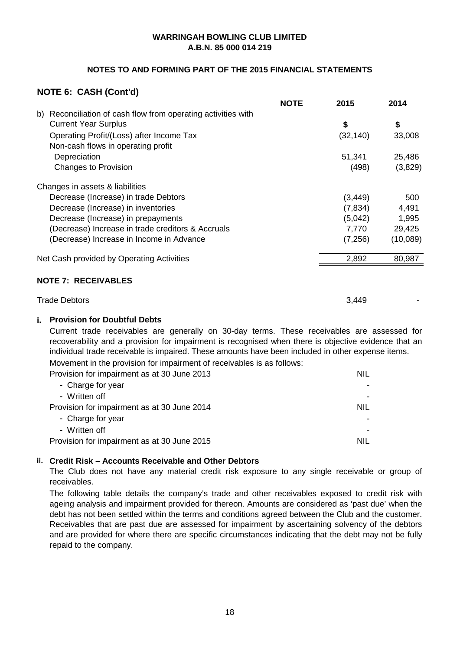# **NOTES TO AND FORMING PART OF THE 2015 FINANCIAL STATEMENTS**

# **NOTE 6: CASH (Cont'd)**

|                                                                  | <b>NOTE</b> | 2015      | 2014     |
|------------------------------------------------------------------|-------------|-----------|----------|
| Reconciliation of cash flow from operating activities with<br>b) |             |           |          |
| <b>Current Year Surplus</b>                                      |             | \$        | \$       |
| Operating Profit/(Loss) after Income Tax                         |             | (32, 140) | 33,008   |
| Non-cash flows in operating profit                               |             |           |          |
| Depreciation                                                     |             | 51,341    | 25,486   |
| <b>Changes to Provision</b>                                      |             | (498)     | (3,829)  |
| Changes in assets & liabilities                                  |             |           |          |
| Decrease (Increase) in trade Debtors                             |             | (3, 449)  | 500      |
| Decrease (Increase) in inventories                               |             | (7, 834)  | 4,491    |
| Decrease (Increase) in prepayments                               |             | (5,042)   | 1,995    |
| (Decrease) Increase in trade creditors & Accruals                |             | 7,770     | 29,425   |
| (Decrease) Increase in Income in Advance                         |             | (7, 256)  | (10,089) |
| Net Cash provided by Operating Activities                        |             | 2,892     | 80,987   |

#### **NOTE 7: RECEIVABLES**

Trade Debtors

3,449 -

# **i. Provision for Doubtful Debts**

Current trade receivables are generally on 30-day terms. These receivables are assessed for recoverability and a provision for impairment is recognised when there is objective evidence that an individual trade receivable is impaired. These amounts have been included in other expense items.

Provision for impairment as at  $30 \text{ lima}$   $2012$  NILL Movement in the provision for impairment of receivables is as follows:

| Provision for impairment as at 30 June 2013 | <b>NIL</b> |
|---------------------------------------------|------------|
| - Charge for year                           |            |
| - Written off                               |            |
| Provision for impairment as at 30 June 2014 | NIL        |
| - Charge for year                           |            |
| - Written off                               |            |
| Provision for impairment as at 30 June 2015 | <b>NII</b> |
|                                             |            |

# **ii. Credit Risk – Accounts Receivable and Other Debtors**

The Club does not have any material credit risk exposure to any single receivable or group of receivables.

The following table details the company's trade and other receivables exposed to credit risk with ageing analysis and impairment provided for thereon. Amounts are considered as 'past due' when the debt has not been settled within the terms and conditions agreed between the Club and the customer. Receivables that are past due are assessed for impairment by ascertaining solvency of the debtors and are provided for where there are specific circumstances indicating that the debt may not be fully repaid to the company.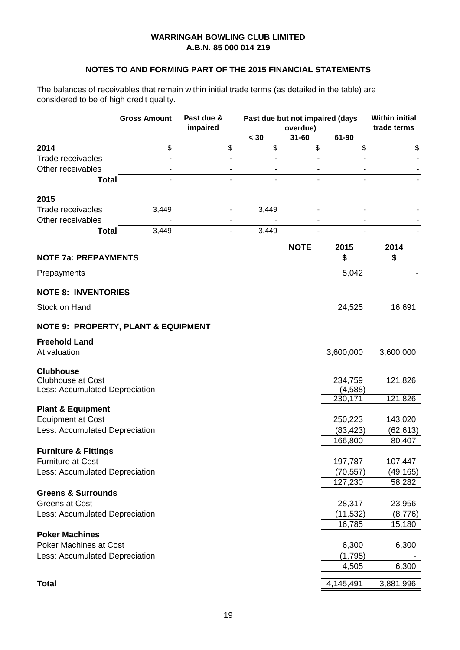# **NOTES TO AND FORMING PART OF THE 2015 FINANCIAL STATEMENTS**

The balances of receivables that remain within initial trade terms (as detailed in the table) are considered to be of high credit quality.

|                                                | <b>Gross Amount</b> | Past due &<br>impaired | Past due but not impaired (days<br>overdue) |             |                     | <b>Within initial</b><br>trade terms |
|------------------------------------------------|---------------------|------------------------|---------------------------------------------|-------------|---------------------|--------------------------------------|
|                                                |                     |                        | $30$                                        | $31 - 60$   | 61-90               |                                      |
| 2014                                           | \$                  | \$                     | \$                                          | \$          | \$                  | \$                                   |
| Trade receivables                              |                     |                        |                                             |             |                     |                                      |
| Other receivables                              |                     |                        |                                             |             |                     |                                      |
| <b>Total</b>                                   |                     |                        | $\overline{\phantom{a}}$                    |             |                     |                                      |
| 2015                                           |                     |                        |                                             |             |                     |                                      |
| Trade receivables                              | 3,449               |                        | 3,449                                       |             |                     |                                      |
| Other receivables                              |                     |                        |                                             |             |                     |                                      |
| <b>Total</b>                                   | 3,449               |                        | 3,449                                       |             |                     |                                      |
|                                                |                     |                        |                                             | <b>NOTE</b> | 2015                | 2014                                 |
| <b>NOTE 7a: PREPAYMENTS</b>                    |                     |                        |                                             |             | \$                  | \$                                   |
| Prepayments                                    |                     |                        |                                             |             | 5,042               |                                      |
| <b>NOTE 8: INVENTORIES</b>                     |                     |                        |                                             |             |                     |                                      |
| Stock on Hand                                  |                     |                        |                                             |             | 24,525              | 16,691                               |
| <b>NOTE 9: PROPERTY, PLANT &amp; EQUIPMENT</b> |                     |                        |                                             |             |                     |                                      |
| <b>Freehold Land</b>                           |                     |                        |                                             |             |                     |                                      |
| At valuation                                   |                     |                        |                                             |             | 3,600,000           | 3,600,000                            |
| <b>Clubhouse</b>                               |                     |                        |                                             |             |                     |                                      |
| <b>Clubhouse at Cost</b>                       |                     |                        |                                             |             | 234,759             | 121,826                              |
| Less: Accumulated Depreciation                 |                     |                        |                                             |             | (4, 588)<br>230,171 | 121,826                              |
| <b>Plant &amp; Equipment</b>                   |                     |                        |                                             |             |                     |                                      |
| <b>Equipment at Cost</b>                       |                     |                        |                                             |             | 250,223             | 143,020                              |
| Less: Accumulated Depreciation                 |                     |                        |                                             |             | (83, 423)           | (62, 613)                            |
|                                                |                     |                        |                                             |             | 166,800             | 80,407                               |
| <b>Furniture &amp; Fittings</b>                |                     |                        |                                             |             |                     |                                      |
| <b>Furniture at Cost</b>                       |                     |                        |                                             |             | 197,787             | 107,447                              |
| Less: Accumulated Depreciation                 |                     |                        |                                             |             | (70, 557)           | (49, 165)                            |
|                                                |                     |                        |                                             |             | 127,230             | 58,282                               |
| <b>Greens &amp; Surrounds</b>                  |                     |                        |                                             |             |                     |                                      |
| Greens at Cost                                 |                     |                        |                                             |             | 28,317              | 23,956                               |
| Less: Accumulated Depreciation                 |                     |                        |                                             |             | (11, 532)           | (8,776)                              |
|                                                |                     |                        |                                             |             | 16,785              | 15,180                               |
| <b>Poker Machines</b>                          |                     |                        |                                             |             |                     |                                      |
| Poker Machines at Cost                         |                     |                        |                                             |             | 6,300               | 6,300                                |
| Less: Accumulated Depreciation                 |                     |                        |                                             |             | (1,795)<br>4,505    | 6,300                                |
|                                                |                     |                        |                                             |             |                     |                                      |
| <b>Total</b>                                   |                     |                        |                                             |             | 4,145,491           | 3,881,996                            |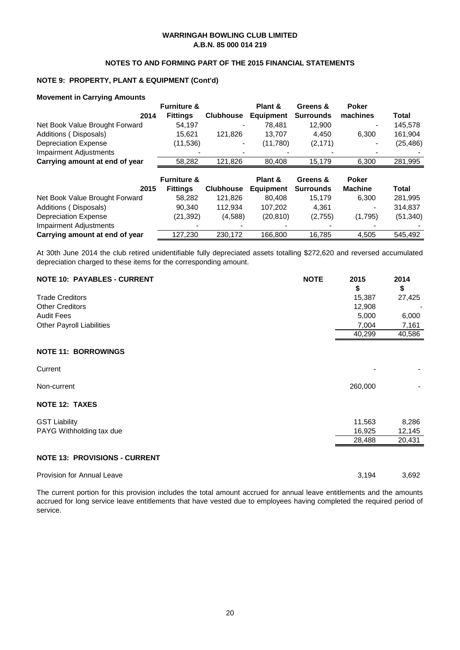#### **NOTES TO AND FORMING PART OF THE 2015 FINANCIAL STATEMENTS**

## **NOTE 9: PROPERTY, PLANT & EQUIPMENT (Cont'd)**

#### **Movement in Carrying Amounts**

|                                | <b>Furniture &amp;</b> |                  | Plant &          | Greens &         | <b>Poker</b>   |           |
|--------------------------------|------------------------|------------------|------------------|------------------|----------------|-----------|
| 2014                           | <b>Fittings</b>        | <b>Clubhouse</b> | <b>Equipment</b> | <b>Surrounds</b> | machines       | Total     |
| Net Book Value Brought Forward | 54,197                 |                  | 78.481           | 12.900           |                | 145,578   |
| Additions (Disposals)          | 15,621                 | 121,826          | 13,707           | 4,450            | 6,300          | 161,904   |
| <b>Depreciation Expense</b>    | (11,536)               |                  | (11,780)         | (2, 171)         |                | (25, 486) |
| <b>Impairment Adjustments</b>  |                        |                  |                  |                  |                |           |
| Carrying amount at end of year | 58,282                 | 121,826          | 80,408           | 15,179           | 6,300          | 281,995   |
|                                |                        |                  |                  |                  |                |           |
|                                |                        |                  |                  |                  |                |           |
|                                | <b>Furniture &amp;</b> |                  | Plant &          | Greens &         | <b>Poker</b>   |           |
| 2015                           | <b>Fittings</b>        | <b>Clubhouse</b> | <b>Equipment</b> | <b>Surrounds</b> | <b>Machine</b> | Total     |
| Net Book Value Brought Forward | 58.282                 | 121.826          | 80.408           | 15.179           | 6.300          | 281,995   |
| Additions (Disposals)          | 90.340                 | 112,934          | 107,202          | 4.361            |                | 314,837   |
| <b>Depreciation Expense</b>    | (21,392)               | (4,588)          | (20, 810)        | (2,755)          | (1,795)        | (51, 340) |
| <b>Impairment Adjustments</b>  |                        |                  |                  |                  |                |           |

At 30th June 2014 the club retired unidentifiable fully depreciated assets totalling \$272,620 and reversed accumulated depreciation charged to these items for the corresponding amount.

Provision for Annual Leave 3,692

The current portion for this provision includes the total amount accrued for annual leave entitlements and the amounts accrued for long service leave entitlements that have vested due to employees having completed the required period of service.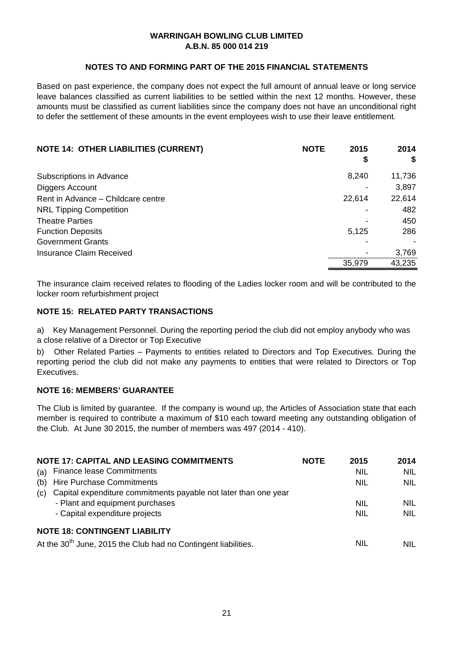## **NOTES TO AND FORMING PART OF THE 2015 FINANCIAL STATEMENTS**

Based on past experience, the company does not expect the full amount of annual leave or long service leave balances classified as current liabilities to be settled within the next 12 months. However, these amounts must be classified as current liabilities since the company does not have an unconditional right to defer the settlement of these amounts in the event employees wish to use their leave entitlement.

| <b>NOTE 14: OTHER LIABILITIES (CURRENT)</b> | <b>NOTE</b> | 2015   | 2014   |
|---------------------------------------------|-------------|--------|--------|
|                                             |             | \$     | \$     |
| Subscriptions in Advance                    |             | 8,240  | 11,736 |
| Diggers Account                             |             |        | 3,897  |
| Rent in Advance - Childcare centre          |             | 22,614 | 22,614 |
| <b>NRL Tipping Competition</b>              |             |        | 482    |
| <b>Theatre Parties</b>                      |             |        | 450    |
| <b>Function Deposits</b>                    |             | 5.125  | 286    |
| <b>Government Grants</b>                    |             |        |        |
| <b>Insurance Claim Received</b>             |             |        | 3,769  |
|                                             |             | 35,979 | 43,235 |

The insurance claim received relates to flooding of the Ladies locker room and will be contributed to the locker room refurbishment project

## **NOTE 15: RELATED PARTY TRANSACTIONS**

a) Key Management Personnel. During the reporting period the club did not employ anybody who was a close relative of a Director or Top Executive

b) Other Related Parties – Payments to entities related to Directors and Top Executives. During the reporting period the club did not make any payments to entities that were related to Directors or Top Executives.

### **NOTE 16: MEMBERS' GUARANTEE**

The Club is limited by guarantee. If the company is wound up, the Articles of Association state that each member is required to contribute a maximum of \$10 each toward meeting any outstanding obligation of the Club. At June 30 2015, the number of members was 497 (2014 - 410).

|     | <b>NOTE 17: CAPITAL AND LEASING COMMITMENTS</b>                            | <b>NOTE</b> | 2015       | 2014       |
|-----|----------------------------------------------------------------------------|-------------|------------|------------|
| (a) | <b>Finance lease Commitments</b>                                           |             | <b>NIL</b> | <b>NIL</b> |
| (b) | <b>Hire Purchase Commitments</b>                                           |             | <b>NIL</b> | NIL.       |
| (c) | Capital expenditure commitments payable not later than one year            |             |            |            |
|     | - Plant and equipment purchases                                            |             | <b>NIL</b> | <b>NIL</b> |
|     | - Capital expenditure projects                                             |             | <b>NIL</b> | <b>NIL</b> |
|     | <b>NOTE 18: CONTINGENT LIABILITY</b>                                       |             |            |            |
|     | At the 30 <sup>th</sup> June, 2015 the Club had no Contingent liabilities. |             | <b>NIL</b> | NIL        |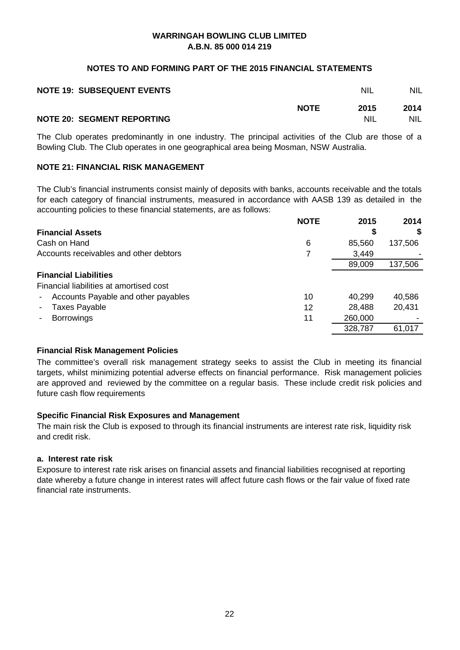#### **NOTES TO AND FORMING PART OF THE 2015 FINANCIAL STATEMENTS**

| <b>NOTE 19: SUBSEQUENT EVENTS</b> |             | <b>NIL</b> | NIL.       |
|-----------------------------------|-------------|------------|------------|
|                                   | <b>NOTE</b> | 2015       | 2014       |
| <b>NOTE 20: SEGMENT REPORTING</b> |             | <b>NIL</b> | <b>NIL</b> |

The Club operates predominantly in one industry. The principal activities of the Club are those of a Bowling Club. The Club operates in one geographical area being Mosman, NSW Australia.

## **NOTE 21: FINANCIAL RISK MANAGEMENT**

The Club's financial instruments consist mainly of deposits with banks, accounts receivable and the totals for each category of financial instruments, measured in accordance with AASB 139 as detailed in the accounting policies to these financial statements, are as follows:

|                                                                 | <b>NOTE</b> | 2015    | 2014    |
|-----------------------------------------------------------------|-------------|---------|---------|
| <b>Financial Assets</b>                                         |             | S       | S.      |
| Cash on Hand                                                    | 6           | 85,560  | 137,506 |
| Accounts receivables and other debtors                          | 7           | 3,449   |         |
|                                                                 |             | 89,009  | 137,506 |
| <b>Financial Liabilities</b>                                    |             |         |         |
| Financial liabilities at amortised cost                         |             |         |         |
| Accounts Payable and other payables<br>$\overline{\phantom{a}}$ | 10          | 40,299  | 40,586  |
| <b>Taxes Payable</b><br>$\blacksquare$                          | 12          | 28,488  | 20,431  |
| <b>Borrowings</b>                                               | 11          | 260,000 |         |
|                                                                 |             | 328,787 | 61,017  |

# **Financial Risk Management Policies**

The committee's overall risk management strategy seeks to assist the Club in meeting its financial targets, whilst minimizing potential adverse effects on financial performance. Risk management policies are approved and reviewed by the committee on a regular basis. These include credit risk policies and future cash flow requirements

# **Specific Financial Risk Exposures and Management**

The main risk the Club is exposed to through its financial instruments are interest rate risk, liquidity risk and credit risk.

#### **a. Interest rate risk**

Exposure to interest rate risk arises on financial assets and financial liabilities recognised at reporting date whereby a future change in interest rates will affect future cash flows or the fair value of fixed rate financial rate instruments.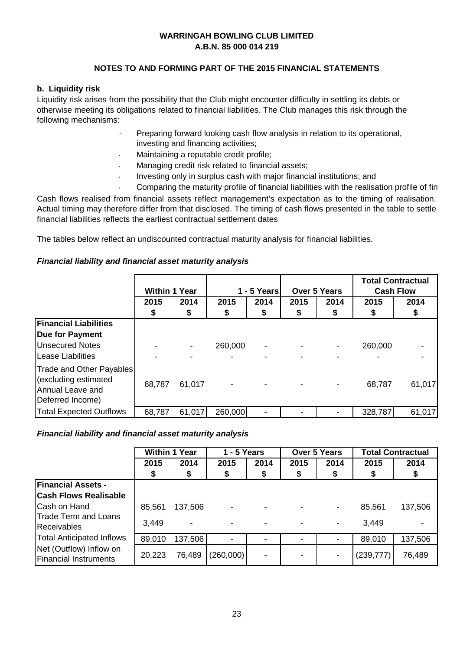# **NOTES TO AND FORMING PART OF THE 2015 FINANCIAL STATEMENTS**

# **b. Liquidity risk**

Liquidity risk arises from the possibility that the Club might encounter difficulty in settling its debts or otherwise meeting its obligations related to financial liabilities. The Club manages this risk through the following mechanisms:

- · Preparing forward looking cash flow analysis in relation to its operational,
- investing and financing activities;
- · Maintaining a reputable credit profile;
- · Managing credit risk related to financial assets;
- · Investing only in surplus cash with major financial institutions; and
- · Comparing the maturity profile of financial liabilities with the realisation profile of fin

Cash flows realised from financial assets reflect management's expectation as to the timing of realisation. Actual timing may therefore differ from that disclosed. The timing of cash flows presented in the table to settle financial liabilities reflects the earliest contractual settlement dates

The tables below reflect an undiscounted contractual maturity analysis for financial liabilities.

# *Financial liability and financial asset maturity analysis*

|                                                                                          | <b>Within 1 Year</b> |                | 1 - 5 Yearsl             |      | <b>Over 5 Years</b> |      | <b>Total Contractual</b><br><b>Cash Flow</b> |        |
|------------------------------------------------------------------------------------------|----------------------|----------------|--------------------------|------|---------------------|------|----------------------------------------------|--------|
|                                                                                          | 2015                 | 2014           | 2015                     | 2014 | 2015                | 2014 | 2015                                         | 2014   |
|                                                                                          | \$                   | \$             | \$                       | \$   | \$                  | \$   | \$                                           | \$     |
| <b>Financial Liabilities</b>                                                             |                      |                |                          |      |                     |      |                                              |        |
| <b>Due for Payment</b>                                                                   |                      |                |                          |      |                     |      |                                              |        |
| <b>Unsecured Notes</b>                                                                   |                      | $\blacksquare$ | 260,000                  |      |                     |      | 260,000                                      |        |
| <b>Lease Liabilities</b>                                                                 |                      |                |                          |      |                     |      |                                              |        |
| Trade and Other Payables<br>(excluding estimated<br>Annual Leave and<br>Deferred Income) | 68,787               | 61,017         | $\overline{\phantom{a}}$ |      |                     |      | 68,787                                       | 61,017 |
| <b>Total Expected Outflows</b>                                                           | 68,787               | 61,017         | 260,000                  |      |                     |      | 328,787                                      | 61,017 |

# *Financial liability and financial asset maturity analysis*

|                                                         | <b>Within 1 Year</b> |         | - 5 Years                |      | <b>Over 5 Years</b>      |      | <b>Total Contractual</b> |         |
|---------------------------------------------------------|----------------------|---------|--------------------------|------|--------------------------|------|--------------------------|---------|
|                                                         | 2015                 | 2014    | 2015                     | 2014 | 2015                     | 2014 | 2015                     | 2014    |
|                                                         | \$                   | \$      | \$                       | \$   | \$                       | \$   | S.                       | \$      |
| <b>Financial Assets -</b>                               |                      |         |                          |      |                          |      |                          |         |
| <b>Cash Flows Realisable</b>                            |                      |         |                          |      |                          |      |                          |         |
| <b>Cash on Hand</b>                                     | 85,561               | 137,506 | $\overline{\phantom{a}}$ |      |                          | -    | 85,561                   | 137,506 |
| Trade Term and Loans<br><b>Receivables</b>              | 3,449                |         | $\overline{\phantom{a}}$ |      |                          |      | 3,449                    |         |
| <b>Total Anticipated Inflows</b>                        | 89,010               | 137,506 | $\blacksquare$           |      | $\overline{\phantom{0}}$ |      | 89,010                   | 137,506 |
| Net (Outflow) Inflow on<br><b>Financial Instruments</b> | 20,223               | 76,489  | (260,000)                |      |                          |      | (239, 777)               | 76,489  |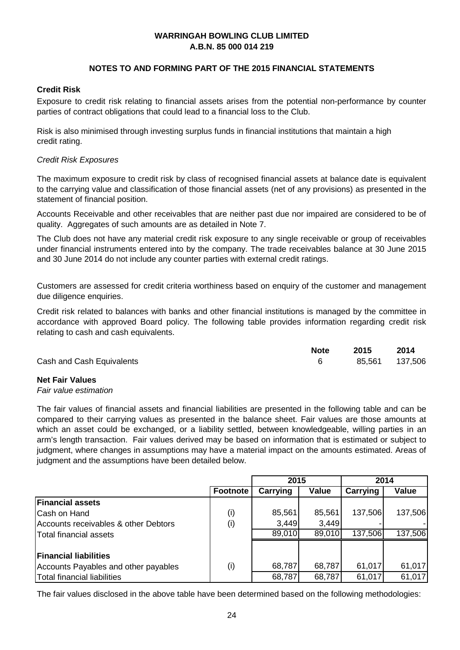# **NOTES TO AND FORMING PART OF THE 2015 FINANCIAL STATEMENTS**

# **Credit Risk**

Exposure to credit risk relating to financial assets arises from the potential non-performance by counter parties of contract obligations that could lead to a financial loss to the Club.

Risk is also minimised through investing surplus funds in financial institutions that maintain a high credit rating.

## *Credit Risk Exposures*

The maximum exposure to credit risk by class of recognised financial assets at balance date is equivalent to the carrying value and classification of those financial assets (net of any provisions) as presented in the statement of financial position.

Accounts Receivable and other receivables that are neither past due nor impaired are considered to be of quality. Aggregates of such amounts are as detailed in Note 7.

The Club does not have any material credit risk exposure to any single receivable or group of receivables under financial instruments entered into by the company. The trade receivables balance at 30 June 2015 and 30 June 2014 do not include any counter parties with external credit ratings.

Customers are assessed for credit criteria worthiness based on enquiry of the customer and management due diligence enquiries.

Credit risk related to balances with banks and other financial institutions is managed by the committee in accordance with approved Board policy. The following table provides information regarding credit risk relating to cash and cash equivalents.

|                           | <b>Note</b> | 2015            | 2014 |
|---------------------------|-------------|-----------------|------|
| Cash and Cash Equivalents |             | 85,561  137,506 |      |

# **Net Fair Values**

#### *Fair value estimation*

The fair values of financial assets and financial liabilities are presented in the following table and can be compared to their carrying values as presented in the balance sheet. Fair values are those amounts at which an asset could be exchanged, or a liability settled, between knowledgeable, willing parties in an arm's length transaction. Fair values derived may be based on information that is estimated or subject to judgment, where changes in assumptions may have a material impact on the amounts estimated. Areas of judgment and the assumptions have been detailed below.

|                                      |                 | 2015     |        | 2014     |         |  |
|--------------------------------------|-----------------|----------|--------|----------|---------|--|
|                                      | <b>Footnote</b> | Carrying | Value  | Carrying | Value   |  |
| <b>Financial assets</b>              |                 |          |        |          |         |  |
| Cash on Hand                         | (i)             | 85,561   | 85,561 | 137,506  | 137,506 |  |
| Accounts receivables & other Debtors | (i)             | 3,449    | 3,449  |          |         |  |
| Total financial assets               |                 | 89,010   | 89,010 | 137,506  | 137,506 |  |
|                                      |                 |          |        |          |         |  |
| <b>Financial liabilities</b>         |                 |          |        |          |         |  |
| Accounts Payables and other payables | (i)             | 68,787   | 68,787 | 61,017   | 61,017  |  |
| Total financial liabilities          |                 | 68,787   | 68,787 | 61,017   | 61,017  |  |

The fair values disclosed in the above table have been determined based on the following methodologies: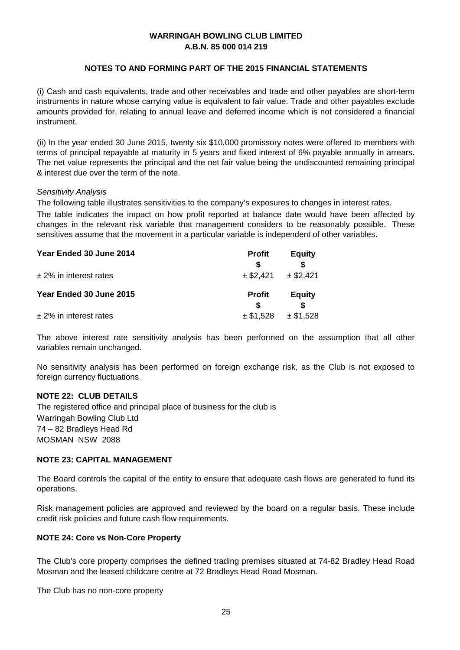# **NOTES TO AND FORMING PART OF THE 2015 FINANCIAL STATEMENTS**

(i) Cash and cash equivalents, trade and other receivables and trade and other payables are short-term instruments in nature whose carrying value is equivalent to fair value. Trade and other payables exclude amounts provided for, relating to annual leave and deferred income which is not considered a financial instrument.

(ii) In the year ended 30 June 2015, twenty six \$10,000 promissory notes were offered to members with terms of principal repayable at maturity in 5 years and fixed interest of 6% payable annually in arrears. The net value represents the principal and the net fair value being the undiscounted remaining principal & interest due over the term of the note.

#### *Sensitivity Analysis*

The following table illustrates sensitivities to the company's exposures to changes in interest rates.

The table indicates the impact on how profit reported at balance date would have been affected by changes in the relevant risk variable that management considers to be reasonably possible. These sensitives assume that the movement in a particular variable is independent of other variables.

| Year Ended 30 June 2014   | <b>Profit</b> | <b>Equity</b> |
|---------------------------|---------------|---------------|
|                           |               |               |
| $± 2\%$ in interest rates | $±$ \$2,421   | $±$ \$2,421   |
| Year Ended 30 June 2015   | <b>Profit</b> | <b>Equity</b> |
| $±$ 2% in interest rates  | $±$ \$1,528   | $±$ \$1,528   |

The above interest rate sensitivity analysis has been performed on the assumption that all other variables remain unchanged.

No sensitivity analysis has been performed on foreign exchange risk, as the Club is not exposed to foreign currency fluctuations.

### **NOTE 22: CLUB DETAILS**

The registered office and principal place of business for the club is Warringah Bowling Club Ltd 74 – 82 Bradleys Head Rd MOSMAN NSW 2088

#### **NOTE 23: CAPITAL MANAGEMENT**

The Board controls the capital of the entity to ensure that adequate cash flows are generated to fund its operations.

Risk management policies are approved and reviewed by the board on a regular basis. These include credit risk policies and future cash flow requirements.

#### **NOTE 24: Core vs Non-Core Property**

The Club's core property comprises the defined trading premises situated at 74-82 Bradley Head Road Mosman and the leased childcare centre at 72 Bradleys Head Road Mosman.

The Club has no non-core property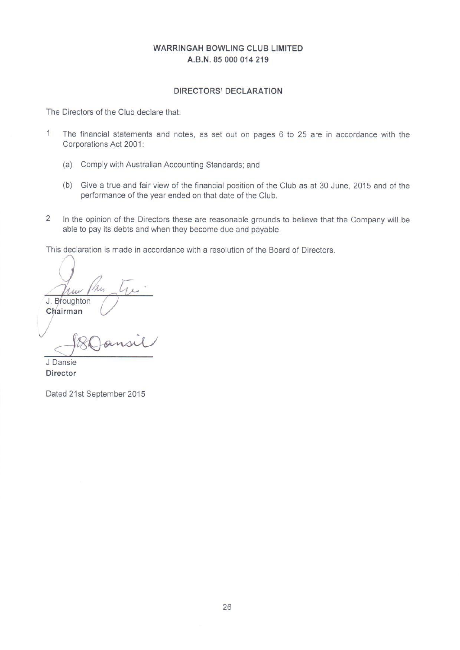# **DIRECTORS' DECLARATION**

The Directors of the Club declare that:

- $1$ The financial statements and notes, as set out on pages 6 to 25 are in accordance with the Corporations Act 2001:
	- (a) Comply with Australian Accounting Standards; and
	- (b) Give a true and fair view of the financial position of the Club as at 30 June, 2015 and of the performance of the year ended on that date of the Club.
- $\overline{a}$ In the opinion of the Directors these are reasonable grounds to believe that the Company will be able to pay its debts and when they become due and payable.

This declaration is made in accordance with a resolution of the Board of Directors.

 $1\mu\nu$ J. Broughton

Chairman

J Dansie Director

Dated 21st September 2015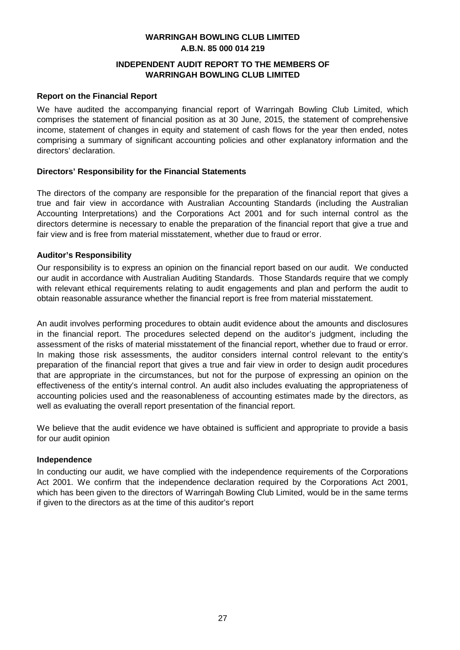# **INDEPENDENT AUDIT REPORT TO THE MEMBERS OF WARRINGAH BOWLING CLUB LIMITED**

#### **Report on the Financial Report**

We have audited the accompanying financial report of Warringah Bowling Club Limited, which comprises the statement of financial position as at 30 June, 2015, the statement of comprehensive income, statement of changes in equity and statement of cash flows for the year then ended, notes comprising a summary of significant accounting policies and other explanatory information and the directors' declaration.

## **Directors' Responsibility for the Financial Statements**

The directors of the company are responsible for the preparation of the financial report that gives a true and fair view in accordance with Australian Accounting Standards (including the Australian Accounting Interpretations) and the Corporations Act 2001 and for such internal control as the directors determine is necessary to enable the preparation of the financial report that give a true and fair view and is free from material misstatement, whether due to fraud or error.

## **Auditor's Responsibility**

Our responsibility is to express an opinion on the financial report based on our audit. We conducted our audit in accordance with Australian Auditing Standards. Those Standards require that we comply with relevant ethical requirements relating to audit engagements and plan and perform the audit to obtain reasonable assurance whether the financial report is free from material misstatement.

An audit involves performing procedures to obtain audit evidence about the amounts and disclosures in the financial report. The procedures selected depend on the auditor's judgment, including the assessment of the risks of material misstatement of the financial report, whether due to fraud or error. In making those risk assessments, the auditor considers internal control relevant to the entity's preparation of the financial report that gives a true and fair view in order to design audit procedures that are appropriate in the circumstances, but not for the purpose of expressing an opinion on the effectiveness of the entity's internal control. An audit also includes evaluating the appropriateness of accounting policies used and the reasonableness of accounting estimates made by the directors, as well as evaluating the overall report presentation of the financial report.

We believe that the audit evidence we have obtained is sufficient and appropriate to provide a basis for our audit opinion

#### **Independence**

In conducting our audit, we have complied with the independence requirements of the Corporations Act 2001. We confirm that the independence declaration required by the Corporations Act 2001, which has been given to the directors of Warringah Bowling Club Limited, would be in the same terms if given to the directors as at the time of this auditor's report